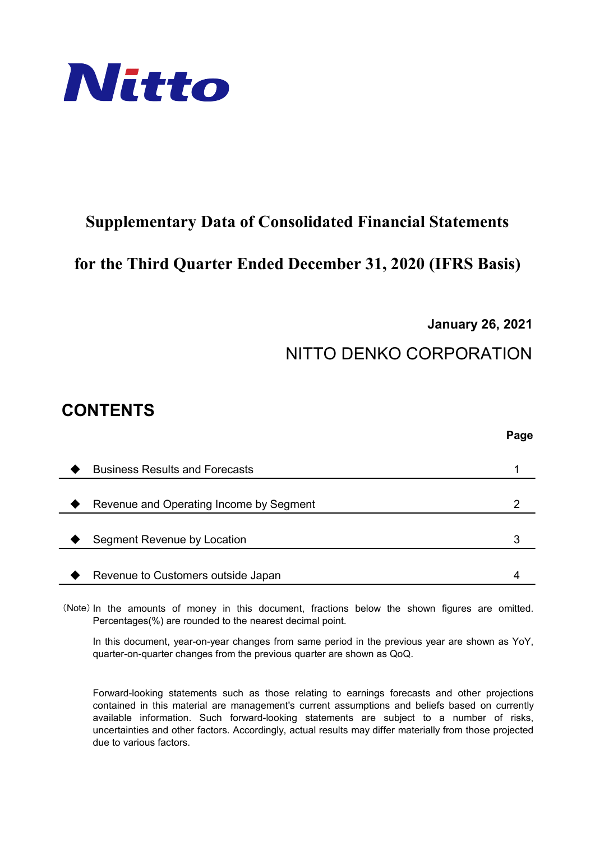

## Supplementary Data of Consolidated Financial Statements

### for the Third Quarter Ended December 31, 2020 (IFRS Basis)

January 26, 2021

# NITTO DENKO CORPORATION

## CONTENTS

|                                         | Page |
|-----------------------------------------|------|
|                                         |      |
| <b>Business Results and Forecasts</b>   |      |
|                                         |      |
| Revenue and Operating Income by Segment |      |
|                                         |      |
| Segment Revenue by Location             | З    |
|                                         |      |
| Revenue to Customers outside Japan      |      |

(Note) In the amounts of money in this document, fractions below the shown figures are omitted. Percentages(%) are rounded to the nearest decimal point.

In this document, year-on-year changes from same period in the previous year are shown as YoY, quarter-on-quarter changes from the previous quarter are shown as QoQ.

Forward-looking statements such as those relating to earnings forecasts and other projections contained in this material are management's current assumptions and beliefs based on currently available information. Such forward-looking statements are subject to a number of risks, uncertainties and other factors. Accordingly, actual results may differ materially from those projected due to various factors.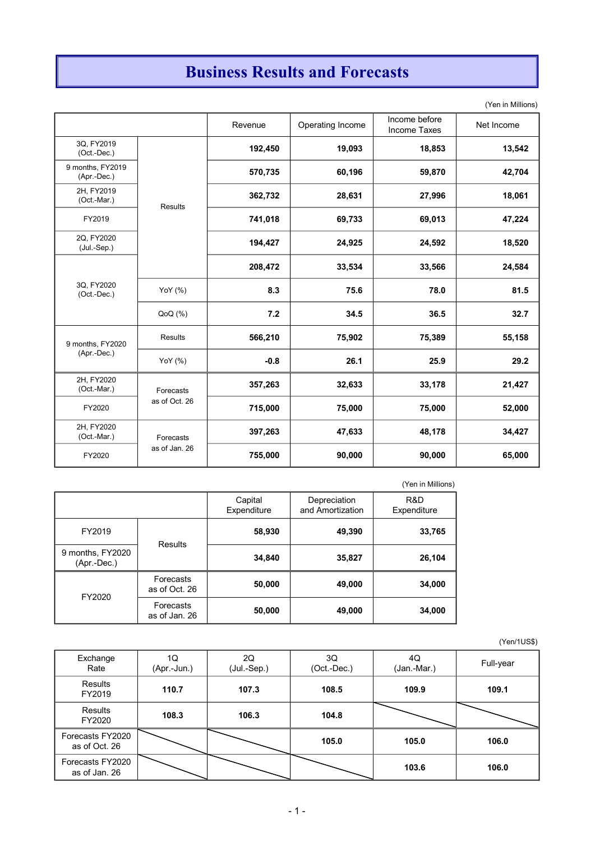# Business Results and Forecasts

(Yen in Millions)

|                                 |                | Revenue | Operating Income | Income before<br><b>Income Taxes</b> | Net Income |
|---------------------------------|----------------|---------|------------------|--------------------------------------|------------|
| 3Q, FY2019<br>(Oct.-Dec.)       |                | 192,450 | 19,093           | 18,853                               | 13,542     |
| 9 months, FY2019<br>(Apr.-Dec.) |                | 570,735 | 60,196           | 59,870                               | 42,704     |
| 2H, FY2019<br>(Oct.-Mar.)       | <b>Results</b> | 362,732 | 28,631           | 27,996                               | 18,061     |
| FY2019                          |                | 741,018 | 69,733           | 69,013                               | 47,224     |
| 2Q, FY2020<br>$(Jul.-Sep.)$     |                | 194,427 | 24,925           | 24,592                               | 18,520     |
|                                 |                | 208,472 | 33,534           | 33,566                               | 24,584     |
| 3Q, FY2020<br>(Oct.-Dec.)       | YoY (%)        | 8.3     | 75.6             | 78.0                                 | 81.5       |
|                                 | QoQ(%)         | 7.2     | 34.5             | 36.5                                 | 32.7       |
| 9 months, FY2020                | <b>Results</b> | 566,210 | 75,902           | 75,389                               | 55,158     |
| (Apr.-Dec.)                     | YoY (%)        | $-0.8$  | 26.1             | 25.9                                 | 29.2       |
| 2H, FY2020<br>(Oct.-Mar.)       | Forecasts      | 357,263 | 32,633           | 33,178                               | 21,427     |
| FY2020                          | as of Oct. 26  | 715,000 | 75,000           | 75,000                               | 52,000     |
| 2H, FY2020<br>(Oct.-Mar.)       | Forecasts      | 397,263 | 47,633           | 48,178                               | 34,427     |
| FY2020                          | as of Jan. 26  | 755,000 | 90,000           | 90,000                               | 65,000     |

|                                   |                            |                        |                                  | (Yen in Millions)  |
|-----------------------------------|----------------------------|------------------------|----------------------------------|--------------------|
|                                   |                            | Capital<br>Expenditure | Depreciation<br>and Amortization | R&D<br>Expenditure |
| FY2019                            | Results                    | 58,930                 | 49,390                           | 33,765             |
| 9 months, FY2020<br>$(Apr.-Dec.)$ |                            | 34,840                 | 35,827                           | 26,104             |
| FY2020                            | Forecasts<br>as of Oct. 26 | 50,000                 | 49,000                           | 34,000             |
|                                   | Forecasts<br>as of Jan. 26 | 50,000                 | 49,000                           | 34,000             |

| Exchange<br>Rate                  | 1Q<br>(Apr.-Jun.) | 2Q<br>(Jul.-Sep.) | 3Q<br>(Oct.-Dec.) | 4Q<br>(Jan.-Mar.) | Full-year |
|-----------------------------------|-------------------|-------------------|-------------------|-------------------|-----------|
| Results<br>FY2019                 | 110.7             | 107.3             | 108.5             | 109.9             | 109.1     |
| Results<br>FY2020                 | 108.3             | 106.3             | 104.8             |                   |           |
| Forecasts FY2020<br>as of Oct. 26 |                   |                   | 105.0             | 105.0             | 106.0     |
| Forecasts FY2020<br>as of Jan. 26 |                   |                   |                   | 103.6             | 106.0     |

(Yen/1US\$)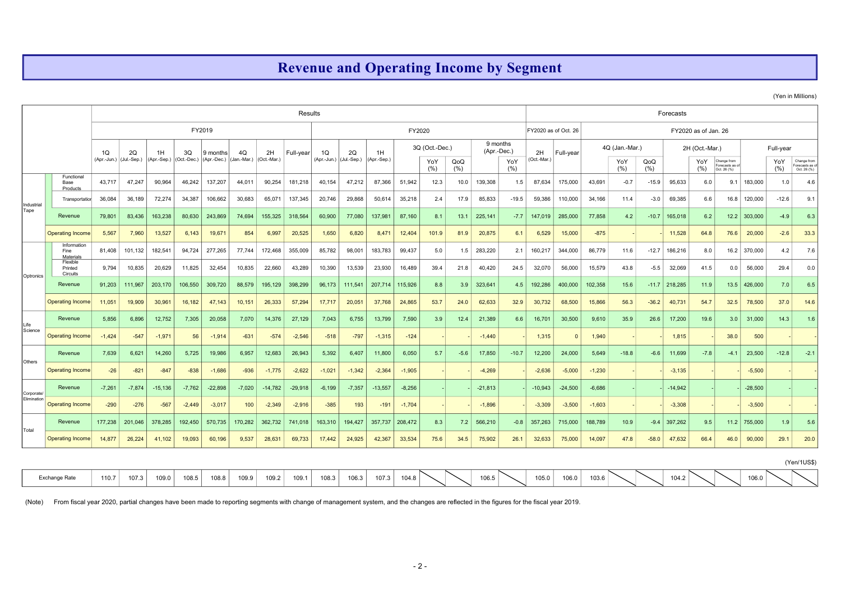### Revenue and Operating Income by Segment

(Yen in Millions)

|                           |                                                                                                                                                                                      |                               |          |                   |          |                                     |                   |                   | Results   |                               |          |                   |          |                       |        |           |                                |                   |                      |          |                       |         | Forecasts |                       |                                |           |                  |                              |
|---------------------------|--------------------------------------------------------------------------------------------------------------------------------------------------------------------------------------|-------------------------------|----------|-------------------|----------|-------------------------------------|-------------------|-------------------|-----------|-------------------------------|----------|-------------------|----------|-----------------------|--------|-----------|--------------------------------|-------------------|----------------------|----------|-----------------------|---------|-----------|-----------------------|--------------------------------|-----------|------------------|------------------------------|
|                           |                                                                                                                                                                                      |                               |          |                   |          | FY2019                              |                   |                   |           |                               |          |                   | FY2020   |                       |        |           |                                |                   | FY2020 as of Oct. 26 |          |                       |         |           | FY2020 as of Jan. 26  |                                |           |                  |                              |
|                           |                                                                                                                                                                                      | 1Q<br>(Apr.-Jun.) (Jul.-Sep.) | 2Q       | 1H<br>(Apr.-Sep.) | 3Q       | 9 months<br>(Oct.-Dec.) (Apr.-Dec.) | 4Q<br>(Jan.-Mar.) | 2H<br>(Oct.-Mar.) | Full-year | 1Q<br>(Apr.-Jun.) (Jul.-Sep.) | 2Q       | 1H<br>(Apr.-Sep.) |          | 3Q (Oct.-Dec.)<br>YoY | QoQ    |           | 9 months<br>(Apr.-Dec.)<br>YoY | 2H<br>(Oct.-Mar.) | Full-year            |          | 4Q (Jan.-Mar.)<br>YoY | QoQ     |           | 2H (Oct.-Mar.)<br>YoY | Change from                    |           | Full-year<br>YoY | Change from                  |
|                           | Functional                                                                                                                                                                           |                               |          |                   |          |                                     |                   |                   |           |                               |          |                   |          | (%)                   | (% )   |           | (%)                            |                   |                      |          | (%)                   | (%)     |           | (%)                   | Forecasts as of<br>Oct. 26 (%) |           | (%)              | orecasts as o<br>Oct. 26 (%) |
|                           | Base<br>Products                                                                                                                                                                     | 43,717                        | 47,247   | 90,964            | 46,242   | 137,207                             | 44,011            | 90,254            | 181,218   | 40,154                        | 47,212   | 87,366            | 51,942   | 12.3                  | 10.0   | 139,308   | 1.5                            | 87,634            | 175,000              | 43,691   | $-0.7$                | $-15.9$ | 95,633    | 6.0                   | 9.1                            | 183,000   | 1.0              | 4.6                          |
| Industrial                | Transportation                                                                                                                                                                       | 36,084                        | 36,189   | 72,274            | 34,387   | 106,662                             | 30,683            | 65,071            | 137,345   | 20,746                        | 29,868   | 50,614            | 35,218   | 2.4                   | 17.9   | 85,833    | $-19.5$                        | 59,386            | 110,000              | 34,166   | 11.4                  | $-3.0$  | 69,385    | 6.6                   | 16.8                           | 120,000   | $-12.6$          | 9.1                          |
| Tape                      | Revenue                                                                                                                                                                              | 79,801                        | 83,436   | 163,238           | 80,630   | 243,869                             | 74,694            | 155,325           | 318,564   | 60,900                        | 77,080   | 137,981           | 87,160   | 8.1                   | 13.1   | 225,141   | $-7.7$                         | 147,019           | 285,000              | 77,858   | 4.2                   | $-10.7$ | 165,018   | 6.2                   | 12.2                           | 303,000   | $-4.9$           | 6.3                          |
|                           | <b>Operating Income</b>                                                                                                                                                              | 5,567                         | 7,960    | 13,527            | 6,143    | 19,671                              | 854               | 6,997             | 20,525    | 1,650                         | 6,820    | 8,471             | 12,404   | 101.9                 | 81.9   | 20,875    | 6.1                            | 6,529             | 15,000               | $-875$   |                       |         | 11,528    | 64.8                  | 76.6                           | 20,000    | $-2.6$           | 33.3                         |
|                           | Information<br>Fine<br>Materials                                                                                                                                                     | 81,408                        | 101,132  | 182,541           | 94,724   | 277,265                             | 77,744            | 172,468           | 355,009   | 85,782                        | 98,001   | 183,783           | 99,437   | 5.0                   | 1.5    | 283,220   | 2.1                            | 160,217           | 344,000              | 86,779   | 11.6                  | $-12.7$ | 186,216   | 8.0                   | 16.2                           | 370,000   | 4.2              | 7.6                          |
|                           | Flexible<br>Printed<br>Circuits                                                                                                                                                      | 9,794                         | 10,835   | 20,629            | 11,825   | 32,454                              | 10,835            | 22,660            | 43,289    | 10,390                        | 13,539   | 23,930            | 16,489   | 39.4                  | 21.8   | 40,420    | 24.5                           | 32,070            | 56,000               | 15,579   | 43.8                  | $-5.5$  | 32,069    | 41.5                  | 0.0                            | 56,000    | 29.4             | 0.0                          |
| Optronics                 | Revenue                                                                                                                                                                              | 91,203                        | 111,967  | 203,170           | 106,550  | 309,720                             | 88,579            | 195,129           | 398,299   | 96,173                        | 111,541  | 207,714           | 115,926  | 8.8                   | 3.9    | 323,641   | 4.5                            | 192,286           | 400,000              | 102,358  | 15.6                  | $-11.7$ | 218,285   | 11.9                  | 13.5                           | 426,000   | 7.0              | 6.5                          |
|                           | <b>Operating Income</b>                                                                                                                                                              | 11,051                        | 19,909   | 30,961            | 16,182   | 47,143                              | 10,151            | 26,333            | 57,294    | 17,717                        | 20,051   | 37,768            | 24,865   | 53.7                  | 24.0   | 62,633    | 32.9                           | 30,732            | 68,500               | 15,866   | 56.3                  | $-36.2$ | 40,731    | 54.7                  | 32.5                           | 78,500    | 37.0             | 14.6                         |
| Life                      | Revenue                                                                                                                                                                              | 5.856                         | 6.896    | 12,752            | 7,305    | 20,058                              | 7,070             | 14,376            | 27,129    | 7,043                         | 6,755    | 13,799            | 7,590    | 3.9                   | 12.4   | 21.389    | 6.6                            | 16,701            | 30.500               | 9,610    | 35.9                  | 26.6    | 17,200    | 19.6                  | 3.0                            | 31,000    | 14.3             | 1.6                          |
| Science                   | <b>Operating Income</b>                                                                                                                                                              | $-1,424$                      | $-547$   | $-1,971$          | 56       | $-1,914$                            | $-631$            | $-574$            | $-2,546$  | $-518$                        | $-797$   | $-1,315$          | $-124$   |                       |        | $-1,440$  |                                | 1,315             | $\Omega$             | 1,940    |                       |         | 1,815     |                       | 38.0                           | 500       |                  |                              |
|                           | Revenue                                                                                                                                                                              | 7,639                         | 6,621    | 14,260            | 5,725    | 19,986                              | 6,957             | 12,683            | 26,943    | 5,392                         | 6,407    | 11,800            | 6,050    | 5.7                   | $-5.6$ | 17,850    | $-10.7$                        | 12,200            | 24,000               | 5,649    | $-18.8$               | $-6.6$  | 11,699    | $-7.8$                | $-4.1$                         | 23,500    | $-12.8$          | $-2.1$                       |
| Others                    | <b>Operating Income</b>                                                                                                                                                              | $-26$                         | $-821$   | $-847$            | $-838$   | $-1,686$                            | $-936$            | $-1,775$          | $-2,622$  | $-1,021$                      | $-1,342$ | $-2,364$          | $-1,905$ |                       |        | $-4,269$  |                                | $-2,636$          | $-5,000$             | $-1,230$ |                       |         | $-3,135$  |                       |                                | $-5,500$  |                  |                              |
|                           | Revenue                                                                                                                                                                              | $-7,261$                      | $-7,874$ | $-15,136$         | $-7,762$ | $-22,898$                           | $-7,020$          | $-14,782$         | $-29,918$ | $-6,199$                      | $-7,357$ | $-13,557$         | $-8,256$ |                       |        | $-21,813$ |                                | $-10,943$         | $-24,500$            | $-6,686$ |                       |         | $-14,942$ |                       |                                | $-28,500$ |                  |                              |
| Corporate/<br>Elimination | <b>Operating Income</b>                                                                                                                                                              | $-290$                        | $-276$   | $-567$            | $-2,449$ | $-3,017$                            | 100               | $-2,349$          | $-2,916$  | $-385$                        | 193      | $-191$            | $-1,704$ |                       |        | $-1,896$  |                                | $-3,309$          | $-3,500$             | $-1,603$ |                       |         | $-3,308$  |                       |                                | $-3,500$  |                  |                              |
|                           | Revenue                                                                                                                                                                              | 177,238                       | 201,046  | 378,285           | 192,450  | 570,735                             | 170,282           | 362,732           | 741,018   | 163,310                       | 194,427  | 357,737           | 208,472  | 8.3                   | 7.2    | 566,210   | $-0.8$                         | 357,263           | 715,000              | 188,789  | 10.9                  | $-9.4$  | 397,262   | 9.5                   | 11.2                           | 755,000   | 1.9              | 5.6                          |
| Total                     | <b>Operating Income</b>                                                                                                                                                              | 14,877                        | 26,224   | 41,102            | 19,093   | 60,196                              | 9,537             | 28,631            | 69,733    | 17,442                        | 24,925   | 42,367            | 33,534   | 75.6                  | 34.5   | 75,902    | 26.1                           | 32,633            | 75,000               | 14,097   | 47.8                  | $-58.0$ | 47,632    | 66.4                  | 46.0                           | 90,000    | 29.1             | 20.0                         |
|                           |                                                                                                                                                                                      |                               |          |                   |          |                                     |                   |                   |           |                               |          |                   |          |                       |        |           |                                |                   |                      |          |                       |         |           |                       |                                |           |                  |                              |
|                           |                                                                                                                                                                                      |                               |          |                   |          |                                     |                   |                   |           |                               |          |                   |          |                       |        |           |                                |                   |                      |          |                       |         |           |                       |                                |           |                  | (Yen/1US\$)                  |
|                           | Exchange Rate                                                                                                                                                                        | 110.7                         | 107.3    | 109.0             | 108.5    | 108.8                               | 109.9             | 109.2             | 109.1     | 108.3                         | 106.3    | 107.3             | 104.8    |                       |        | 106.5     |                                | 105.0             | 106.0                | 103.6    |                       |         | 104.2     |                       |                                | 106.0     |                  |                              |
| (Note)                    | From fiscal year 2020, partial changes have been made to reporting segments with change of management system, and the changes are reflected in the figures for the fiscal year 2019. |                               |          |                   |          |                                     |                   |                   |           |                               |          |                   |          |                       |        |           |                                |                   |                      |          |                       |         |           |                       |                                |           |                  |                              |
|                           |                                                                                                                                                                                      |                               |          |                   |          |                                     |                   |                   |           |                               |          |                   |          |                       |        |           |                                |                   |                      |          |                       |         |           |                       |                                |           |                  |                              |
|                           |                                                                                                                                                                                      |                               |          |                   |          |                                     |                   |                   |           |                               |          |                   |          |                       |        |           |                                |                   |                      |          |                       |         |           |                       |                                |           |                  |                              |
|                           |                                                                                                                                                                                      |                               |          |                   |          |                                     |                   |                   |           |                               |          |                   |          |                       |        |           |                                |                   |                      |          |                       |         |           |                       |                                |           |                  |                              |
|                           |                                                                                                                                                                                      |                               |          |                   |          |                                     |                   |                   |           |                               |          |                   | $\Omega$ |                       |        |           |                                |                   |                      |          |                       |         |           |                       |                                |           |                  |                              |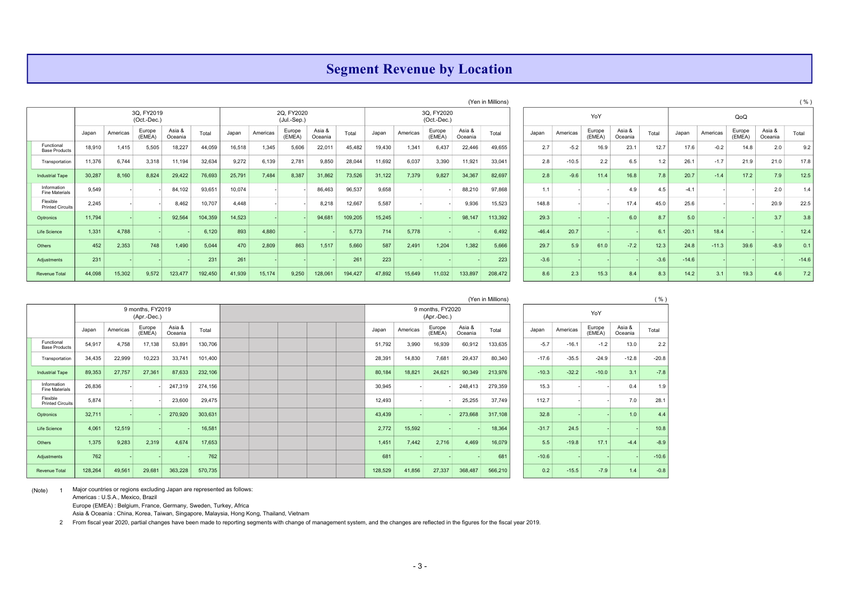#### Segment Revenue by Location

|                                      |        |          |                           |                   |         |        |          |                           |                   |         |        |          |                           |                   | (Yen in Millions) |         |          |                  |                   |        |         |          |                  |                   | $($ %   |
|--------------------------------------|--------|----------|---------------------------|-------------------|---------|--------|----------|---------------------------|-------------------|---------|--------|----------|---------------------------|-------------------|-------------------|---------|----------|------------------|-------------------|--------|---------|----------|------------------|-------------------|---------|
|                                      |        |          | 3Q, FY2019<br>(Oct.-Dec.) |                   |         |        |          | 2Q, FY2020<br>(Jul.-Sep.) |                   |         |        |          | 3Q, FY2020<br>(Oct.-Dec.) |                   |                   |         |          | YoY              |                   |        |         |          | QoQ              |                   |         |
|                                      | Japan  | Americas | Europe<br>(EMEA)          | Asia &<br>Oceania | Total   | Japan  | Americas | Europe<br>(EMEA)          | Asia &<br>Oceania | Total   | Japan  | Americas | Europe<br>(EMEA)          | Asia &<br>Oceania | Total             | Japan   | Americas | Europe<br>(EMEA) | Asia &<br>Oceania | Total  | Japan   | Americas | Europe<br>(EMEA) | Asia &<br>Oceania | Total   |
| Functional<br><b>Base Products</b>   | 18,910 | 1,415    | 5,505                     | 18,227            | 44,059  | 16,518 | 1,345    | 5,606                     | 22,011            | 45,482  | 19,430 | 1,341    | 6,437                     | 22,446            | 49,655            | 2.7     | $-5.2$   | 16.9             | 23.7              | 12.7   | 17.6    | $-0.2$   | 14.8             | 2.0               | 9.2     |
| Transportation                       | 11,376 | 6,744    | 3,318                     | 11,194            | 32,634  | 9,272  | 6,139    | 2,781                     | 9,850             | 28,044  | 11,692 | 6,037    | 3,390                     | 11,921            | 33,041            | 2.8     | $-10.5$  | 2.2              | 6.5               | 1.2    | 26.1    | $-1.7$   | 21.9             | 21.0              | 17.8    |
| <b>Industrial Tape</b>               | 30,287 | 8,160    | 8,824                     | 29,422            | 76,693  | 25,791 | 7,484    | 8,387                     | 31,862            | 73,526  | 31,122 | 7,379    | 9,827                     | 34,367            | 82,697            | 2.8     | $-9.6$   | 11.4             | 16.8              | 7.8    | 20.7    | $-1.4$   | 17.2             | 7.9               | 12.5    |
| Information<br><b>Fine Materials</b> | 9,549  |          |                           | 84,102            | 93,651  | 10,074 |          |                           | 86,463            | 96,537  | 9,658  |          |                           | 88,210            | 97,868            | 1.1     |          |                  | 4.9               | 4.5    | $-4.1$  |          |                  | 2.0               |         |
| Flexible<br><b>Printed Circuits</b>  | 2.245  |          |                           | 8,462             | 10,707  | 4,448  |          |                           | 8,218             | 12,667  | 5,587  |          |                           | 9,936             | 15,523            | 148.8   |          |                  | 17.4              | 45.0   | 25.6    |          |                  | 20.9              | 22.5    |
| Optronics                            | 11,794 |          |                           | 92,564            | 104,359 | 14,523 |          |                           | 94,681            | 109,205 | 15,245 |          |                           | 98,147            | 113,392           | 29.3    |          |                  | 6.0               | 8.7    | 5.0     |          |                  | 3.7               | 3.8     |
| Life Science                         | 1,331  | 4,788    |                           |                   | 6,120   | 893    | 4,880    |                           |                   | 5,773   | 714    | 5,778    |                           |                   | 6,492             | $-46.4$ | 20.7     |                  |                   | 6.1    | $-20.1$ | 18.4     |                  |                   | 12.4    |
| Others                               | 452    | 2,353    | 748                       | 1,490             | 5,044   | 470    | 2,809    | 863                       | 1,517             | 5,660   | 587    | 2,491    | 1,204                     | 1,382             | 5,666             | 29.7    | 5.9      | 61.0             | $-7.2$            | 12.3   | 24.8    | $-11.3$  | 39.6             | $-8.9$            | 0.1     |
| Adjustments                          | 231    |          |                           |                   | 231     | 261    |          |                           |                   | 261     | 223    |          |                           |                   | 223               | $-3.6$  |          |                  |                   | $-3.6$ | $-14.6$ |          |                  |                   | $-14.6$ |
| <b>Revenue Total</b>                 | 44,098 | 15,302   | 9,572                     | 123,477           | 192,450 | 41,939 | 15,174   | 9,250                     | 128,061           | 194,427 | 47,892 | 15,649   | 11,032                    | 133,897           | 208,472           | 8.6     | 2.3      | 15.3             | 8.4               | 8.3    | 14.2    | 3.       | 19.3             | 4.6               | 7.2     |

|                   | (Yen in Millions) |         |          |                  |                   |        |         |          |                  |                   | ( %)    |
|-------------------|-------------------|---------|----------|------------------|-------------------|--------|---------|----------|------------------|-------------------|---------|
|                   |                   |         |          | YoY              |                   |        |         |          | QoQ              |                   |         |
| Asia &<br>Oceania | Total             | Japan   | Americas | Europe<br>(EMEA) | Asia &<br>Oceania | Total  | Japan   | Americas | Europe<br>(EMEA) | Asia &<br>Oceania | Total   |
| 22,446            | 49,655            | 2.7     | $-5.2$   | 16.9             | 23.1              | 12.7   | 17.6    | $-0.2$   | 14.8             | 2.0               | 9.2     |
| 11,921            | 33,041            | 2.8     | $-10.5$  | 2.2              | 6.5               | 1.2    | 26.1    | $-1.7$   | 21.9             | 21.0              | 17.8    |
| 34,367            | 82,697            | 2.8     | $-9.6$   | 11.4             | 16.8              | 7.8    | 20.7    | $-1.4$   | 17.2             | 7.9               | 12.5    |
| 88,210            | 97,868            | 1.1     |          |                  | 4.9               | 4.5    | $-4.1$  |          |                  | 2.0               | 1.4     |
| 9,936             | 15,523            | 148.8   |          |                  | 17.4              | 45.0   | 25.6    |          |                  | 20.9              | 22.5    |
| 98,147            | 113,392           | 29.3    |          |                  | 6.0               | 8.7    | 5.0     |          |                  | 3.7               | 3.8     |
|                   | 6,492             | $-46.4$ | 20.7     |                  |                   | 6.1    | $-20.1$ | 18.4     |                  |                   | 12.4    |
| 1,382             | 5,666             | 29.7    | 5.9      | 61.0             | $-7.2$            | 12.3   | 24.8    | $-11.3$  | 39.6             | $-8.9$            | 0.1     |
|                   | 223               | $-3.6$  |          |                  |                   | $-3.6$ | $-14.6$ |          |                  |                   | $-14.6$ |
| 133,897           | 208,472           | 8.6     | 2.3      | 15.3             | 8.4               | 8.3    | 14.2    | 3.1      | 19.3             | 4.6               | 7.2     |

|                                     |         |          |                                 |                   |         |  |  |         |          |                                 |                   | (Yen in Millions) |         |          |                  |                   | ( %)    |
|-------------------------------------|---------|----------|---------------------------------|-------------------|---------|--|--|---------|----------|---------------------------------|-------------------|-------------------|---------|----------|------------------|-------------------|---------|
|                                     |         |          | 9 months, FY2019<br>(Apr.-Dec.) |                   |         |  |  |         |          | 9 months, FY2020<br>(Apr.-Dec.) |                   |                   |         |          | YoY              |                   |         |
|                                     | Japan   | Americas | Europe<br>(EMEA)                | Asia &<br>Oceania | Total   |  |  | Japan   | Americas | Europe<br>(EMEA)                | Asia &<br>Oceania | Total             | Japan   | Americas | Europe<br>(EMEA) | Asia &<br>Oceania | Total   |
| Functional<br><b>Base Products</b>  | 54,917  | 4,758    | 17,138                          | 53,891            | 130,706 |  |  | 51,792  | 3,990    | 16,939                          | 60,912            | 133,635           | $-5.7$  | $-16.1$  | $-1.2$           | 13.0              | 2.2     |
| Transportation                      | 34,435  | 22,999   | 10,223                          | 33,741            | 101,400 |  |  | 28,391  | 14,830   | 7,681                           | 29,437            | 80,340            | $-17.6$ | $-35.5$  | $-24.9$          | $-12.8$           | $-20.8$ |
| <b>Industrial Tape</b>              | 89,353  | 27,757   | 27,361                          | 87,633            | 232,106 |  |  | 80,184  | 18,821   | 24,621                          | 90,349            | 213,976           | $-10.3$ | $-32.2$  | $-10.0$          | 3.1               | $-7.8$  |
| Information<br>Fine Materials       | 26,836  |          |                                 | 247,319           | 274,156 |  |  | 30,945  |          |                                 | 248,413           | 279,359           | 15.3    |          |                  | 0.4               | 1.9     |
| Flexible<br><b>Printed Circuits</b> | 5,874   |          |                                 | 23,600            | 29,475  |  |  | 12,493  |          |                                 | 25,255            | 37,749            | 112.7   |          |                  | 7.0               | 28.1    |
| Optronics                           | 32,711  |          |                                 | 270,920           | 303,631 |  |  | 43,439  |          |                                 | 273,668           | 317,108           | 32.8    |          |                  | 1.0               | 4.4     |
| Life Science                        | 4,061   | 12,519   |                                 |                   | 16,581  |  |  | 2,772   | 15,592   |                                 |                   | 18,364            | $-31.7$ | 24.5     |                  |                   | 10.8    |
| Others                              | 1,375   | 9,283    | 2,319                           | 4,674             | 17,653  |  |  | 1,451   | 7,442    | 2,716                           | 4,469             | 16,079            | 5.5     | $-19.8$  | 17.1             | $-4.4$            | $-8.9$  |
| Adjustments                         | 762     |          |                                 |                   | 762     |  |  | 681     |          |                                 |                   | 681               | $-10.6$ |          |                  |                   | $-10.6$ |
| <b>Revenue Total</b>                | 128,264 | 49,561   | 29,681                          | 363,228           | 570,735 |  |  | 128,529 | 41,856   | 27,337                          | 368,487           | 566,210           | 0.2     | $-15.5$  | $-7.9$           | 1.4               | $-0.8$  |

(Note) 1 Major countries or regions excluding Japan are represented as follows:

Americas : U.S.A., Mexico, Brazil

Europe (EMEA) : Belgium, France, Germany, Sweden, Turkey, Africa

Asia & Oceania : China, Korea, Taiwan, Singapore, Malaysia, Hong Kong, Thailand, Vietnam

2 From fiscal year 2020, partial changes have been made to reporting segments with change of management system, and the changes are reflected in the figures for the fiscal year 2019.